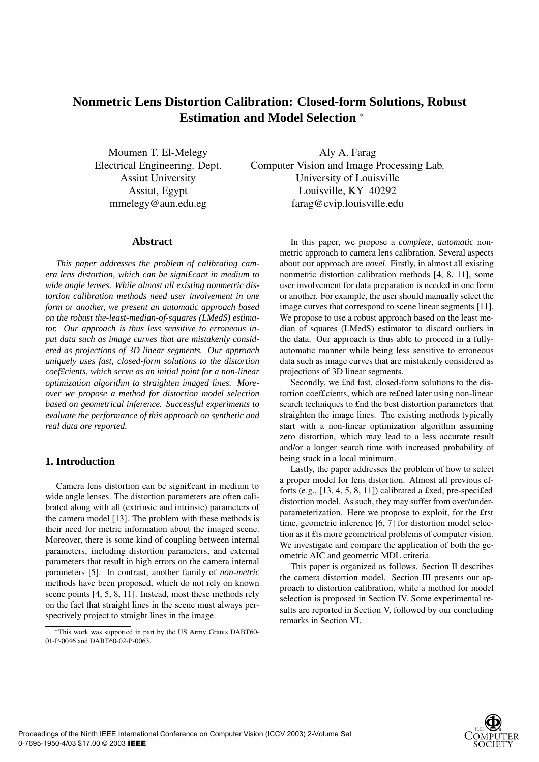# **Nonmetric Lens Distortion Calibration: Closed-form Solutions, Robust Estimation and Model Selection** <sup>∗</sup>

Moumen T. El-Melegy Electrical Engineering. Dept. Assiut University Assiut, Egypt mmelegy@aun.edu.eg

Aly A. Farag Computer Vision and Image Processing Lab. University of Louisville Louisville, KY 40292 farag@cvip.louisville.edu

### **Abstract**

*This paper addresses the problem of calibrating camera lens distortion, which can be signi£cant in medium to wide angle lenses. While almost all existing nonmetric distortion calibration methods need user involvement in one form or another, we present an automatic approach based on the robust the-least-median-of-squares (LMedS) estimator. Our approach is thus less sensitive to erroneous input data such as image curves that are mistakenly considered as projections of 3D linear segments. Our approach uniquely uses fast, closed-form solutions to the distortion coef£cients, which serve as an initial point for a non-linear optimization algorithm to straighten imaged lines. Moreover we propose a method for distortion model selection based on geometrical inference. Successful experiments to evaluate the performance of this approach on synthetic and real data are reported.*

# **1. Introduction**

Camera lens distortion can be signi£cant in medium to wide angle lenses. The distortion parameters are often calibrated along with all (extrinsic and intrinsic) parameters of the camera model [13]. The problem with these methods is their need for metric information about the imaged scene. Moreover, there is some kind of coupling between internal parameters, including distortion parameters, and external parameters that result in high errors on the camera internal parameters [5]. In contrast, another family of *non-metric* methods have been proposed, which do not rely on known scene points [4, 5, 8, 11]. Instead, most these methods rely on the fact that straight lines in the scene must always perspectively project to straight lines in the image.

In this paper, we propose a *complete*, *automatic* nonmetric approach to camera lens calibration. Several aspects about our approach are *novel*. Firstly, in almost all existing nonmetric distortion calibration methods [4, 8, 11], some user involvement for data preparation is needed in one form or another. For example, the user should manually select the image curves that correspond to scene linear segments [11]. We propose to use a robust approach based on the least median of squares (LMedS) estimator to discard outliers in the data. Our approach is thus able to proceed in a fullyautomatic manner while being less sensitive to erroneous data such as image curves that are mistakenly considered as projections of 3D linear segments.

Secondly, we £nd fast, closed-form solutions to the distortion coef£cients, which are re£ned later using non-linear search techniques to £nd the best distortion parameters that straighten the image lines. The existing methods typically start with a non-linear optimization algorithm assuming zero distortion, which may lead to a less accurate result and/or a longer search time with increased probability of being stuck in a local minimum.

Lastly, the paper addresses the problem of how to select a proper model for lens distortion. Almost all previous efforts (e.g., [13, 4, 5, 8, 11]) calibrated a £xed, pre-speci£ed distortion model. As such, they may suffer from over/underparameterization. Here we propose to exploit, for the £rst time, geometric inference [6, 7] for distortion model selection as it £ts more geometrical problems of computer vision. We investigate and compare the application of both the geometric AIC and geometric MDL criteria.

This paper is organized as follows. Section II describes the camera distortion model. Section III presents our approach to distortion calibration, while a method for model selection is proposed in Section IV. Some experimental results are reported in Section V, followed by our concluding remarks in Section VI.



<sup>∗</sup>This work was supported in part by the US Army Grants DABT60- 01-P-0046 and DABT60-02-P-0063.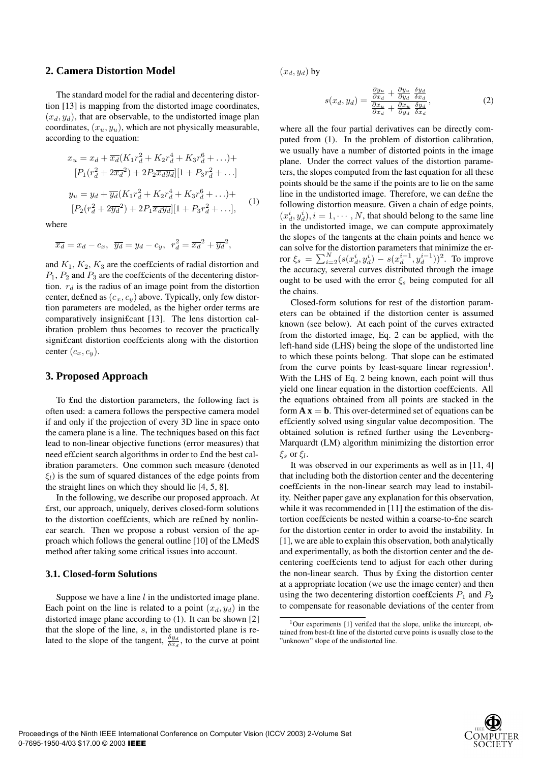### **2. Camera Distortion Model**

The standard model for the radial and decentering distortion [13] is mapping from the distorted image coordinates,  $(x_d, y_d)$ , that are observable, to the undistorted image plan coordinates,  $(x_u, y_u)$ , which are not physically measurable, according to the equation:

$$
x_u = x_d + \overline{x_d}(K_1r_d^2 + K_2r_d^4 + K_3r_d^6 + \ldots) +
$$
  
\n
$$
[P_1(r_d^2 + 2\overline{x_d}^2) + 2P_2\overline{x_dy_d}][1 + P_3r_d^2 + \ldots]
$$
  
\n
$$
y_u = y_d + \overline{y_d}(K_1r_d^2 + K_2r_d^4 + K_3r_d^6 + \ldots) +
$$
  
\n
$$
[P_2(r_d^2 + 2\overline{y_d}^2) + 2P_1\overline{x_dy_d}][1 + P_3r_d^2 + \ldots],
$$
 (1)

where

$$
\overline{x_d} = x_d - c_x, \ \overline{y_d} = y_d - c_y, \ r_d^2 = \overline{x_d}^2 + \overline{y_d}^2,
$$

and  $K_1, K_2, K_3$  are the coefficients of radial distortion and  $P_1$ ,  $P_2$  and  $P_3$  are the coefficients of the decentering distortion.  $r_d$  is the radius of an image point from the distortion center, de£ned as  $(c_x, c_y)$  above. Typically, only few distortion parameters are modeled, as the higher order terms are comparatively insigni£cant [13]. The lens distortion calibration problem thus becomes to recover the practically signi£cant distortion coef£cients along with the distortion center  $(c_x, c_y)$ .

### **3. Proposed Approach**

To £nd the distortion parameters, the following fact is often used: a camera follows the perspective camera model if and only if the projection of every 3D line in space onto the camera plane is a line. The techniques based on this fact lead to non-linear objective functions (error measures) that need ef£cient search algorithms in order to £nd the best calibration parameters. One common such measure (denoted  $\xi_l$ ) is the sum of squared distances of the edge points from the straight lines on which they should lie [4, 5, 8].

In the following, we describe our proposed approach. At £rst, our approach, uniquely, derives closed-form solutions to the distortion coef£cients, which are re£ned by nonlinear search. Then we propose a robust version of the approach which follows the general outline [10] of the LMedS method after taking some critical issues into account.

### **3.1. Closed-form Solutions**

Suppose we have a line  $l$  in the undistorted image plane. Each point on the line is related to a point  $(x_d, y_d)$  in the distorted image plane according to (1). It can be shown [2] that the slope of the line, s, in the undistorted plane is related to the slope of the tangent,  $\frac{\delta y_d}{\delta x_d}$ , to the curve at point

 $(x_d, y_d)$  by

$$
s(x_d, y_d) = \frac{\frac{\partial y_u}{\partial x_d} + \frac{\partial y_u}{\partial y_d} \frac{\delta y_d}{\delta x_d}}{\frac{\partial x_u}{\partial x_d} + \frac{\partial x_u}{\partial y_d} \frac{\delta y_d}{\delta x_d}},
$$
(2)

where all the four partial derivatives can be directly computed from (1). In the problem of distortion calibration, we usually have a number of distorted points in the image plane. Under the correct values of the distortion parameters, the slopes computed from the last equation for all these points should be the same if the points are to lie on the same line in the undistorted image. Therefore, we can de£ne the following distortion measure. Given a chain of edge points,  $(x_d^i, y_d^i), i = 1, \dots, N$ , that should belong to the same line<br>in the undistorted image, we can compute approximately in the undistorted image, we can compute approximately the slopes of the tangents at the chain points and hence we can solve for the distortion parameters that minimize the er-For  $\xi_s = \sum_{i=2}^{N} (s(x_d^i, y_d^i) - s(x_d^{i-1}, y_d^{i-1}))^2$ . To improve<br>the accuracy several curves distributed through the image the accuracy, several curves distributed through the image ought to be used with the error  $\xi_s$  being computed for all the chains.

Closed-form solutions for rest of the distortion parameters can be obtained if the distortion center is assumed known (see below). At each point of the curves extracted from the distorted image, Eq. 2 can be applied, with the left-hand side (LHS) being the slope of the undistorted line to which these points belong. That slope can be estimated from the curve points by least-square linear regression<sup>1</sup>. With the LHS of Eq. 2 being known, each point will thus yield one linear equation in the distortion coef£cients. All the equations obtained from all points are stacked in the form  $\bf{A} \bf{x} = \bf{b}$ . This over-determined set of equations can be ef£ciently solved using singular value decomposition. The obtained solution is re£ned further using the Levenberg-Marquardt (LM) algorithm minimizing the distortion error  $\xi_s$  or  $\xi_l$ .

It was observed in our experiments as well as in [11, 4] that including both the distortion center and the decentering coef£cients in the non-linear search may lead to instability. Neither paper gave any explanation for this observation, while it was recommended in [11] the estimation of the distortion coef£cients be nested within a coarse-to-£ne search for the distortion center in order to avoid the instability. In [1], we are able to explain this observation, both analytically and experimentally, as both the distortion center and the decentering coef£cients tend to adjust for each other during the non-linear search. Thus by £xing the distortion center at a appropriate location (we use the image center) and then using the two decentering distortion coefficients  $P_1$  and  $P_2$ to compensate for reasonable deviations of the center from



 $1$ Our experiments [1] veri£ed that the slope, unlike the intercept, obtained from best-£t line of the distorted curve points is usually close to the "unknown" slope of the undistorted line.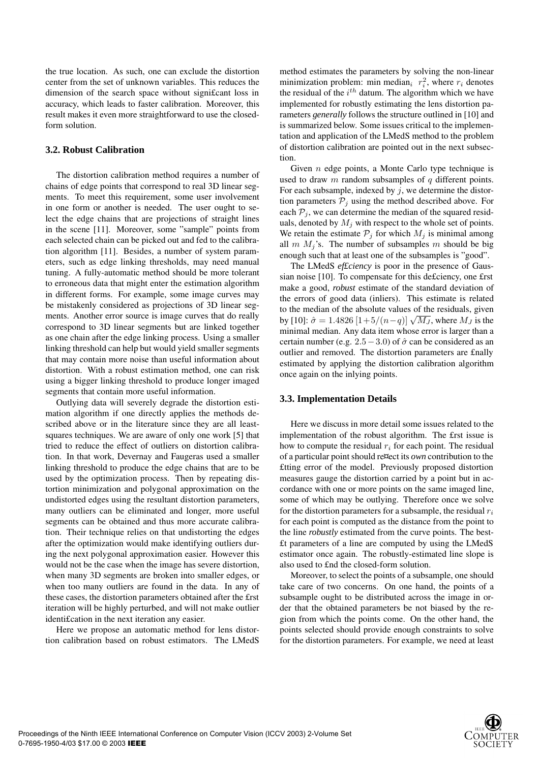the true location. As such, one can exclude the distortion center from the set of unknown variables. This reduces the dimension of the search space without signi£cant loss in accuracy, which leads to faster calibration. Moreover, this result makes it even more straightforward to use the closedform solution.

### **3.2. Robust Calibration**

The distortion calibration method requires a number of chains of edge points that correspond to real 3D linear segments. To meet this requirement, some user involvement in one form or another is needed. The user ought to select the edge chains that are projections of straight lines in the scene [11]. Moreover, some "sample" points from each selected chain can be picked out and fed to the calibration algorithm [11]. Besides, a number of system parameters, such as edge linking thresholds, may need manual tuning. A fully-automatic method should be more tolerant to erroneous data that might enter the estimation algorithm in different forms. For example, some image curves may be mistakenly considered as projections of 3D linear segments. Another error source is image curves that do really correspond to 3D linear segments but are linked together as one chain after the edge linking process. Using a smaller linking threshold can help but would yield smaller segments that may contain more noise than useful information about distortion. With a robust estimation method, one can risk using a bigger linking threshold to produce longer imaged segments that contain more useful information.

Outlying data will severely degrade the distortion estimation algorithm if one directly applies the methods described above or in the literature since they are all leastsquares techniques. We are aware of only one work [5] that tried to reduce the effect of outliers on distortion calibration. In that work, Devernay and Faugeras used a smaller linking threshold to produce the edge chains that are to be used by the optimization process. Then by repeating distortion minimization and polygonal approximation on the undistorted edges using the resultant distortion parameters, many outliers can be eliminated and longer, more useful segments can be obtained and thus more accurate calibration. Their technique relies on that undistorting the edges after the optimization would make identifying outliers during the next polygonal approximation easier. However this would not be the case when the image has severe distortion, when many 3D segments are broken into smaller edges, or when too many outliers are found in the data. In any of these cases, the distortion parameters obtained after the £rst iteration will be highly perturbed, and will not make outlier identi£cation in the next iteration any easier.

Here we propose an automatic method for lens distortion calibration based on robust estimators. The LMedS method estimates the parameters by solving the non-linear minimization problem: min median<sub>i</sub>  $r_i^2$ , where  $r_i$  denotes the residual of the  $i^{th}$  datum. The algorithm which we have implemented for robustly estimating the lens distortion parameters *generally* follows the structure outlined in [10] and is summarized below. Some issues critical to the implementation and application of the LMedS method to the problem of distortion calibration are pointed out in the next subsection.

Given  $n$  edge points, a Monte Carlo type technique is used to draw  $m$  random subsamples of  $q$  different points. For each subsample, indexed by  $j$ , we determine the distortion parameters  $P_i$  using the method described above. For each  $P_i$ , we can determine the median of the squared residuals, denoted by  $M_i$  with respect to the whole set of points. We retain the estimate  $P_j$  for which  $M_j$  is minimal among all  $m M_i$ 's. The number of subsamples m should be big enough such that at least one of the subsamples is "good".

The LMedS *ef£ciency* is poor in the presence of Gaussian noise [10]. To compensate for this de£ciency, one £rst make a good, *robust* estimate of the standard deviation of the errors of good data (inliers). This estimate is related to the median of the absolute values of the residuals, given by [10]:  $\hat{\sigma} = 1.4826 \left[1+5/(n-q)\right] \sqrt{M_J}$ , where  $M_J$  is the minimal median. Any data item whose error is larger than a certain number (e.g.  $2.5-3.0$ ) of  $\hat{\sigma}$  can be considered as an outlier and removed. The distortion parameters are £nally estimated by applying the distortion calibration algorithm once again on the inlying points.

### **3.3. Implementation Details**

Here we discuss in more detail some issues related to the implementation of the robust algorithm. The £rst issue is how to compute the residual  $r_i$  for each point. The residual of a particular point should re¤ect its *own* contribution to the £tting error of the model. Previously proposed distortion measures gauge the distortion carried by a point but in accordance with one or more points on the same imaged line, some of which may be outlying. Therefore once we solve for the distortion parameters for a subsample, the residual  $r_i$ for each point is computed as the distance from the point to the line *robustly* estimated from the curve points. The best- £t parameters of a line are computed by using the LMedS estimator once again. The robustly-estimated line slope is also used to £nd the closed-form solution.

Moreover, to select the points of a subsample, one should take care of two concerns. On one hand, the points of a subsample ought to be distributed across the image in order that the obtained parameters be not biased by the region from which the points come. On the other hand, the points selected should provide enough constraints to solve for the distortion parameters. For example, we need at least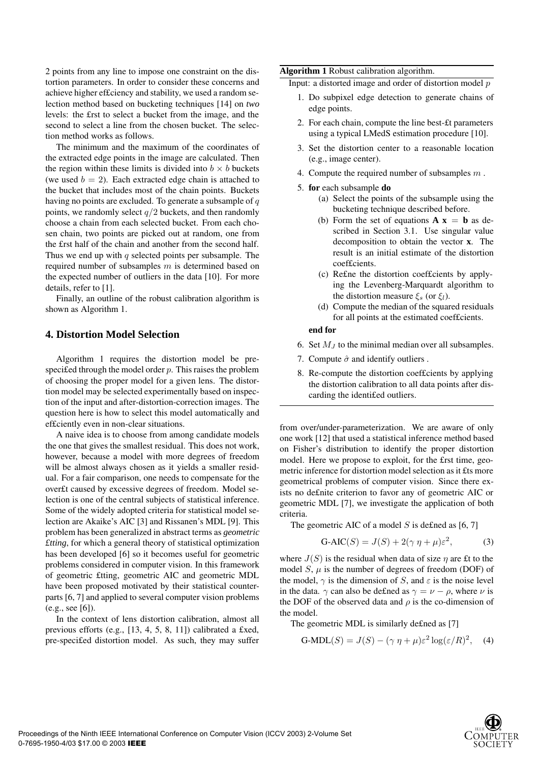2 points from any line to impose one constraint on the distortion parameters. In order to consider these concerns and achieve higher ef£ciency and stability, we used a random selection method based on bucketing techniques [14] on *two* levels: the £rst to select a bucket from the image, and the second to select a line from the chosen bucket. The selection method works as follows.

The minimum and the maximum of the coordinates of the extracted edge points in the image are calculated. Then the region within these limits is divided into  $b \times b$  buckets (we used  $b = 2$ ). Each extracted edge chain is attached to the bucket that includes most of the chain points. Buckets having no points are excluded. To generate a subsample of  $q$ points, we randomly select  $q/2$  buckets, and then randomly choose a chain from each selected bucket. From each chosen chain, two points are picked out at random, one from the £rst half of the chain and another from the second half. Thus we end up with  $q$  selected points per subsample. The required number of subsamples m is determined based on the expected number of outliers in the data [10]. For more details, refer to [1].

Finally, an outline of the robust calibration algorithm is shown as Algorithm 1.

# **4. Distortion Model Selection**

Algorithm 1 requires the distortion model be prespecified through the model order  $p$ . This raises the problem of choosing the proper model for a given lens. The distortion model may be selected experimentally based on inspection of the input and after-distortion-correction images. The question here is how to select this model automatically and ef£ciently even in non-clear situations.

A naive idea is to choose from among candidate models the one that gives the smallest residual. This does not work, however, because a model with more degrees of freedom will be almost always chosen as it yields a smaller residual. For a fair comparison, one needs to compensate for the over£t caused by excessive degrees of freedom. Model selection is one of the central subjects of statistical inference. Some of the widely adopted criteria for statistical model selection are Akaike's AIC [3] and Rissanen's MDL [9]. This problem has been generalized in abstract terms as *geometric £tting*, for which a general theory of statistical optimization has been developed [6] so it becomes useful for geometric problems considered in computer vision. In this framework of geometric £tting, geometric AIC and geometric MDL have been proposed motivated by their statistical counterparts [6, 7] and applied to several computer vision problems (e.g., see [6]).

In the context of lens distortion calibration, almost all previous efforts (e.g., [13, 4, 5, 8, 11]) calibrated a £xed, pre-speci£ed distortion model. As such, they may suffer

#### **Algorithm 1** Robust calibration algorithm.

Input: a distorted image and order of distortion model  $p$ 

- 1. Do subpixel edge detection to generate chains of edge points.
- 2. For each chain, compute the line best-£t parameters using a typical LMedS estimation procedure [10].
- 3. Set the distortion center to a reasonable location (e.g., image center).
- 4. Compute the required number of subsamples  $m$ .
- 5. **for** each subsample **do**
	- (a) Select the points of the subsample using the bucketing technique described before.
	- (b) Form the set of equations  $A x = b$  as described in Section 3.1. Use singular value decomposition to obtain the vector **x**. The result is an initial estimate of the distortion coef£cients.
	- (c) Re£ne the distortion coef£cients by applying the Levenberg-Marquardt algorithm to the distortion measure  $\xi_s$  (or  $\xi_l$ ).
	- (d) Compute the median of the squared residuals for all points at the estimated coef£cients.

#### **end for**

- 6. Set  $M_J$  to the minimal median over all subsamples.
- 7. Compute  $\hat{\sigma}$  and identify outliers.
- 8. Re-compute the distortion coef£cients by applying the distortion calibration to all data points after discarding the identi£ed outliers.

from over/under-parameterization. We are aware of only one work [12] that used a statistical inference method based on Fisher's distribution to identify the proper distortion model. Here we propose to exploit, for the £rst time, geometric inference for distortion model selection as it £ts more geometrical problems of computer vision. Since there exists no de£nite criterion to favor any of geometric AIC or geometric MDL [7], we investigate the application of both criteria.

The geometric AIC of a model  $S$  is defined as [6, 7]

$$
G-AIC(S) = J(S) + 2(\gamma \eta + \mu)\varepsilon^2, \tag{3}
$$

where  $J(S)$  is the residual when data of size  $\eta$  are £t to the model  $S$ ,  $\mu$  is the number of degrees of freedom (DOF) of the model,  $\gamma$  is the dimension of S, and  $\varepsilon$  is the noise level in the data.  $\gamma$  can also be defined as  $\gamma = \nu - \rho$ , where  $\nu$  is the DOF of the observed data and  $\rho$  is the co-dimension of the model.

The geometric MDL is similarly de£ned as [7]

$$
G-MDL(S) = J(S) - (\gamma \eta + \mu)\varepsilon^2 \log(\varepsilon/R)^2, \quad (4)
$$

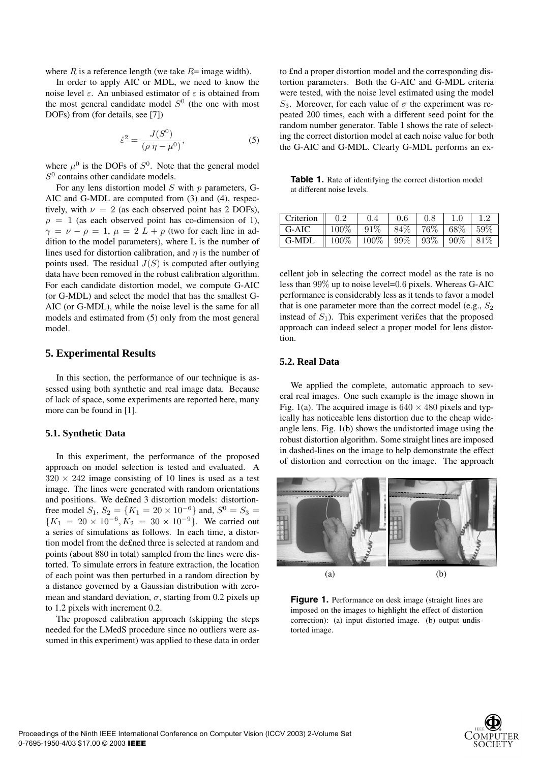where  $R$  is a reference length (we take  $R=$  image width).

In order to apply AIC or MDL, we need to know the noise level  $ε$ . An unbiased estimator of  $ε$  is obtained from the most general candidate model  $S^0$  (the one with most DOFs) from (for details, see [7])

$$
\hat{\varepsilon}^2 = \frac{J(S^0)}{(\rho \eta - \mu^0)},\tag{5}
$$

where  $\mu^0$  is the DOFs of  $S^0$ . Note that the general model  $S<sup>0</sup>$  contains other candidate models.

For any lens distortion model  $S$  with  $p$  parameters, G-AIC and G-MDL are computed from (3) and (4), respectively, with  $\nu = 2$  (as each observed point has 2 DOFs),  $\rho = 1$  (as each observed point has co-dimension of 1),  $\gamma = \nu - \rho = 1$ ,  $\mu = 2 L + p$  (two for each line in addition to the model parameters), where L is the number of lines used for distortion calibration, and  $\eta$  is the number of points used. The residual  $J(S)$  is computed after outlying data have been removed in the robust calibration algorithm. For each candidate distortion model, we compute G-AIC (or G-MDL) and select the model that has the smallest G-AIC (or G-MDL), while the noise level is the same for all models and estimated from (5) only from the most general model.

### **5. Experimental Results**

In this section, the performance of our technique is assessed using both synthetic and real image data. Because of lack of space, some experiments are reported here, many more can be found in [1].

### **5.1. Synthetic Data**

In this experiment, the performance of the proposed approach on model selection is tested and evaluated. A  $320 \times 242$  image consisting of 10 lines is used as a test image. The lines were generated with random orientations and positions. We de£ned 3 distortion models: distortionfree model  $S_1$ ,  $S_2 = \{K_1 = 20 \times 10^{-6}\}$  and,  $S^0 = S_3 =$ <br> $\{K_1 = 20 \times 10^{-6} \text{ K}_2 = 30 \times 10^{-9}\}$  We carried out  ${K_1 = 20 \times 10^{-6}, K_2 = 30 \times 10^{-9}}$ . We carried out a series of simulations as follows. In each time, a distortion model from the de£ned three is selected at random and points (about 880 in total) sampled from the lines were distorted. To simulate errors in feature extraction, the location of each point was then perturbed in a random direction by a distance governed by a Gaussian distribution with zeromean and standard deviation,  $\sigma$ , starting from 0.2 pixels up to 1.2 pixels with increment 0.2.

The proposed calibration approach (skipping the steps needed for the LMedS procedure since no outliers were assumed in this experiment) was applied to these data in order to £nd a proper distortion model and the corresponding distortion parameters. Both the G-AIC and G-MDL criteria were tested, with the noise level estimated using the model S<sub>3</sub>. Moreover, for each value of  $\sigma$  the experiment was repeated 200 times, each with a different seed point for the random number generator. Table 1 shows the rate of selecting the correct distortion model at each noise value for both the G-AIC and G-MDL. Clearly G-MDL performs an ex-

**Table 1.** Rate of identifying the correct distortion model at different noise levels.

| Criterion 1 | 0.2               | 0.4               | 0.6    | 0.8    | 1.0    |        |
|-------------|-------------------|-------------------|--------|--------|--------|--------|
| G-AIC       | $100\%$           | $91\%$            | 84\%   | 76%    | 68%    | $59\%$ |
| G-MDL       | $\parallel 100\%$ | $\mid 100\% \mid$ | $99\%$ | $93\%$ | $90\%$ | 81\%   |
|             |                   |                   |        |        |        |        |

cellent job in selecting the correct model as the rate is no less than 99% up to noise level=0.6 pixels. Whereas G-AIC performance is considerably less as it tends to favor a model that is one parameter more than the correct model (e.g.,  $S_2$ ) instead of  $S_1$ ). This experiment verifies that the proposed approach can indeed select a proper model for lens distortion.

### **5.2. Real Data**

We applied the complete, automatic approach to several real images. One such example is the image shown in Fig. 1(a). The acquired image is  $640 \times 480$  pixels and typically has noticeable lens distortion due to the cheap wideangle lens. Fig. 1(b) shows the undistorted image using the robust distortion algorithm. Some straight lines are imposed in dashed-lines on the image to help demonstrate the effect of distortion and correction on the image. The approach



**Figure 1.** Performance on desk image (straight lines are imposed on the images to highlight the effect of distortion correction): (a) input distorted image. (b) output undistorted image.